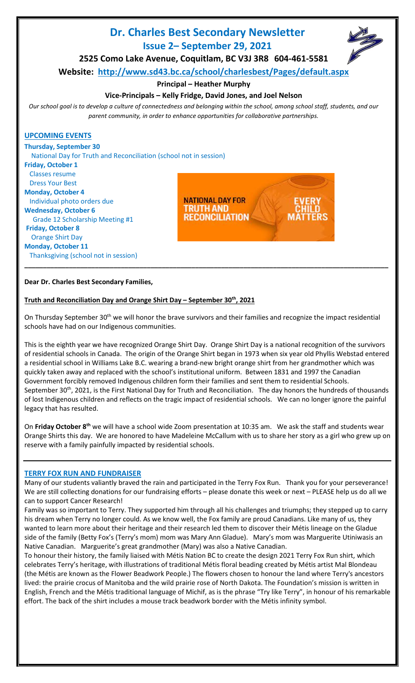# **Dr. Charles Best Secondary Newsletter Issue 2– September 29, 2021**



**2525 Como Lake Avenue, Coquitlam, BC V3J 3R8 604-461-5581**

**Website: <http://www.sd43.bc.ca/school/charlesbest/Pages/default.aspx>**

# **Principal – Heather Murphy**

# **Vice-Principals – Kelly Fridge, David Jones, and Joel Nelson**

*Our school goal is to develop a culture of connectedness and belonging within the school, among school staff, students, and our parent community, in order to enhance opportunities for collaborative partnerships.*

## **UPCOMING EVENTS**

**Thursday, September 30**

National Day for Truth and Reconciliation (school not in session)

**Friday, October 1** Classes resume Dress Your Best **Monday, October 4** Individual photo orders due **Wednesday, October 6** Grade 12 Scholarship Meeting #1 **Friday, October 8** Orange Shirt Day **Monday, October 11** Thanksgiving (school not in session)



#### **Dear Dr. Charles Best Secondary Families,**

#### **Truth and Reconciliation Day and Orange Shirt Day – September 30th, 2021**

On Thursday September 30<sup>th</sup> we will honor the brave survivors and their families and recognize the impact residential schools have had on our Indigenous communities.

**\_\_\_\_\_\_\_\_\_\_\_\_\_\_\_\_\_\_\_\_\_\_\_\_\_\_\_\_\_\_\_\_\_\_\_\_\_\_\_\_\_\_\_\_\_\_\_\_\_\_\_\_\_\_\_\_\_\_\_\_\_\_\_\_\_\_\_\_\_\_\_\_\_\_\_\_\_\_\_\_\_\_\_\_\_\_\_\_\_\_\_\_\_\_\_\_\_\_**

This is the eighth year we have recognized Orange Shirt Day. Orange Shirt Day is a national recognition of the survivors of residential schools in Canada. The origin of the Orange Shirt began in 1973 when six year old Phyllis Webstad entered a residential school in Williams Lake B.C. wearing a brand-new bright orange shirt from her grandmother which was quickly taken away and replaced with the school's institutional uniform. Between 1831 and 1997 the Canadian Government forcibly removed Indigenous children form their families and sent them to residential Schools. September 30<sup>th</sup>, 2021, is the First National Day for Truth and Reconciliation. The day honors the hundreds of thousands of lost Indigenous children and reflects on the tragic impact of residential schools. We can no longer ignore the painful legacy that has resulted.

On **Friday October 8th** we will have a school wide Zoom presentation at 10:35 am. We ask the staff and students wear Orange Shirts this day. We are honored to have Madeleine McCallum with us to share her story as a girl who grew up on reserve with a family painfully impacted by residential schools.

## **TERRY FOX RUN AND FUNDRAISER**

Many of our students valiantly braved the rain and participated in the Terry Fox Run. Thank you for your perseverance! We are still collecting donations for our fundraising efforts – please donate this week or next – PLEASE help us do all we can to support Cancer Research!

Family was so important to Terry. They supported him through all his challenges and triumphs; they stepped up to carry his dream when Terry no longer could. As we know well, the Fox family are proud Canadians. Like many of us, they wanted to learn more about their heritage and their research led them to discover their Métis lineage on the Gladue side of the family (Betty Fox's (Terry's mom) mom was Mary Ann Gladue). Mary's mom was Marguerite Utiniwasis an Native Canadian. Marguerite's great grandmother (Mary) was also a Native Canadian.

To honour their history, the family liaised with Métis Nation BC to create the design 2021 Terry Fox Run shirt, which celebrates Terry's heritage, with illustrations of traditional Métis floral beading created by Métis artist Mal Blondeau (the Métis are known as the Flower Beadwork People.) The flowers chosen to honour the land where Terry's ancestors lived: the prairie crocus of Manitoba and the wild prairie rose of North Dakota. The Foundation's mission is written in English, French and the Métis traditional language of Michif, as is the phrase "Try like Terry", in honour of his remarkable effort. The back of the shirt includes a mouse track beadwork border with the Métis infinity symbol.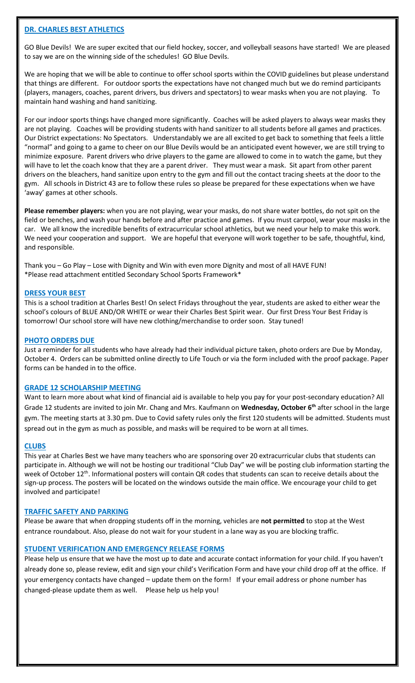## **DR. CHARLES BEST ATHLETICS**

GO Blue Devils! We are super excited that our field hockey, soccer, and volleyball seasons have started! We are pleased to say we are on the winning side of the schedules! GO Blue Devils.

We are hoping that we will be able to continue to offer school sports within the COVID guidelines but please understand that things are different. For outdoor sports the expectations have not changed much but we do remind participants (players, managers, coaches, parent drivers, bus drivers and spectators) to wear masks when you are not playing. To maintain hand washing and hand sanitizing.

For our indoor sports things have changed more significantly. Coaches will be asked players to always wear masks they are not playing. Coaches will be providing students with hand sanitizer to all students before all games and practices. Our District expectations: No Spectators. Understandably we are all excited to get back to something that feels a little "normal" and going to a game to cheer on our Blue Devils would be an anticipated event however, we are still trying to minimize exposure. Parent drivers who drive players to the game are allowed to come in to watch the game, but they will have to let the coach know that they are a parent driver. They must wear a mask. Sit apart from other parent drivers on the bleachers, hand sanitize upon entry to the gym and fill out the contact tracing sheets at the door to the gym. All schools in District 43 are to follow these rules so please be prepared for these expectations when we have 'away' games at other schools.

**Please remember players:** when you are not playing, wear your masks, do not share water bottles, do not spit on the field or benches, and wash your hands before and after practice and games. If you must carpool, wear your masks in the car. We all know the incredible benefits of extracurricular school athletics, but we need your help to make this work. We need your cooperation and support. We are hopeful that everyone will work together to be safe, thoughtful, kind, and responsible.

Thank you – Go Play – Lose with Dignity and Win with even more Dignity and most of all HAVE FUN! \*Please read attachment entitled Secondary School Sports Framework\*

#### **DRESS YOUR BEST**

This is a school tradition at Charles Best! On select Fridays throughout the year, students are asked to either wear the school's colours of BLUE AND/OR WHITE or wear their Charles Best Spirit wear. Our first Dress Your Best Friday is tomorrow! Our school store will have new clothing/merchandise to order soon. Stay tuned!

#### **PHOTO ORDERS DUE**

Just a reminder for all students who have already had their individual picture taken, photo orders are Due by Monday, October 4. Orders can be submitted online directly to Life Touch or via the form included with the proof package. Paper forms can be handed in to the office.

#### **GRADE 12 SCHOLARSHIP MEETING**

Want to learn more about what kind of financial aid is available to help you pay for your post-secondary education? All Grade 12 students are invited to join Mr. Chang and Mrs. Kaufmann on **Wednesday, October 6th** after school in the large gym. The meeting starts at 3.30 pm. Due to Covid safety rules only the first 120 students will be admitted. Students must spread out in the gym as much as possible, and masks will be required to be worn at all times.

#### **CLUBS**

This year at Charles Best we have many teachers who are sponsoring over 20 extracurricular clubs that students can participate in. Although we will not be hosting our traditional "Club Day" we will be posting club information starting the week of October  $12^{th}$ . Informational posters will contain QR codes that students can scan to receive details about the sign-up process. The posters will be located on the windows outside the main office. We encourage your child to get involved and participate!

#### **TRAFFIC SAFETY AND PARKING**

Please be aware that when dropping students off in the morning, vehicles are **not permitted** to stop at the West entrance roundabout. Also, please do not wait for your student in a lane way as you are blocking traffic.

#### **STUDENT VERIFICATION AND EMERGENCY RELEASE FORMS**

Please help us ensure that we have the most up to date and accurate contact information for your child. If you haven't already done so, please review, edit and sign your child's Verification Form and have your child drop off at the office. If your emergency contacts have changed – update them on the form! If your email address or phone number has changed-please update them as well. Please help us help you!